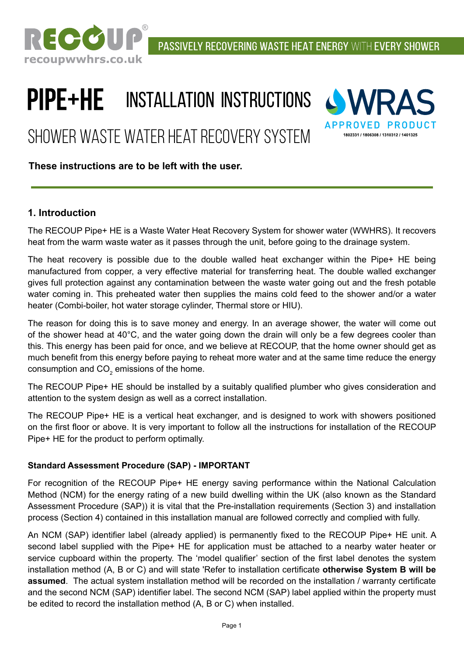

# **PIPE+HE** INSTALLATION INSTRUCTIONS

Shower Waste Water Heat Recovery System



#### **These instructions are to be left with the user.**

#### **1. Introduction**

The RECOUP Pipe+ HE is a Waste Water Heat Recovery System for shower water (WWHRS). It recovers heat from the warm waste water as it passes through the unit, before going to the drainage system.

The heat recovery is possible due to the double walled heat exchanger within the Pipe+ HE being manufactured from copper, a very effective material for transferring heat. The double walled exchanger gives full protection against any contamination between the waste water going out and the fresh potable water coming in. This preheated water then supplies the mains cold feed to the shower and/or a water heater (Combi-boiler, hot water storage cylinder, Thermal store or HIU).

The reason for doing this is to save money and energy. In an average shower, the water will come out of the shower head at 40°C, and the water going down the drain will only be a few degrees cooler than this. This energy has been paid for once, and we believe at RECOUP, that the home owner should get as much benefit from this energy before paying to reheat more water and at the same time reduce the energy consumption and CO $_{\rm 2}$  emissions of the home.

The RECOUP Pipe+ HE should be installed by a suitably qualified plumber who gives consideration and attention to the system design as well as a correct installation.

The RECOUP Pipe+ HE is a vertical heat exchanger, and is designed to work with showers positioned on the first floor or above. It is very important to follow all the instructions for installation of the RECOUP Pipe+ HE for the product to perform optimally.

#### **Standard Assessment Procedure (SAP) - IMPORTANT**

For recognition of the RECOUP Pipe+ HE energy saving performance within the National Calculation Method (NCM) for the energy rating of a new build dwelling within the UK (also known as the Standard Assessment Procedure (SAP)) it is vital that the Pre-installation requirements (Section 3) and installation process (Section 4) contained in this installation manual are followed correctly and complied with fully.

An NCM (SAP) identifier label (already applied) is permanently fixed to the RECOUP Pipe+ HE unit. A second label supplied with the Pipe+ HE for application must be attached to a nearby water heater or service cupboard within the property. The 'model qualifier' section of the first label denotes the system installation method (A, B or C) and will state 'Refer to installation certificate **otherwise System B will be assumed**. The actual system installation method will be recorded on the installation / warranty certificate and the second NCM (SAP) identifier label. The second NCM (SAP) label applied within the property must be edited to record the installation method (A, B or C) when installed.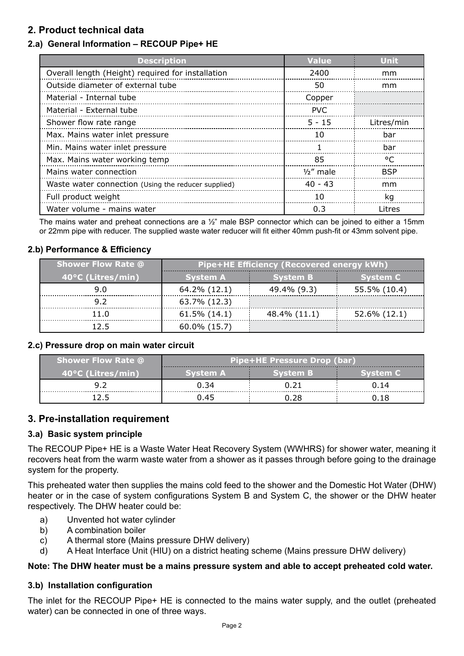#### **2. Product technical data**

#### **2.a) General Information – RECOUP Pipe+ HE**

| <b>Description</b>                                  | <b>Value</b> | <b>Unit</b> |
|-----------------------------------------------------|--------------|-------------|
| Overall length (Height) required for installation   | 2400         | mm          |
| Outside diameter of external tube                   | 50           | mm          |
| Material - Internal tube                            | Copper       |             |
| Material - External tube                            | <b>PVC</b>   |             |
| Shower flow rate range                              | $5 - 15$     | Litres/min  |
| Max. Mains water inlet pressure                     | 10           | bar         |
| Min. Mains water inlet pressure                     |              | bar         |
| Max. Mains water working temp                       | 85           | °C          |
| Mains water connection                              | $1/2$ " male | <b>BSP</b>  |
| Waste water connection (Using the reducer supplied) | $40 - 43$    | mm          |
| Full product weight                                 | 10           | kg          |
| Water volume - mains water                          | 0.3          | Litres      |

The mains water and preheat connections are a  $1/2$ " male BSP connector which can be joined to either a 15mm or 22mm pipe with reducer. The supplied waste water reducer will fit either 40mm push-fit or 43mm solvent pipe.

#### **2.b) Performance & Efficiency**

| <b>Shower Flow Rate @</b> | <b>Pipe+HE Efficiency (Recovered energy kWh)</b> |                 |                 |
|---------------------------|--------------------------------------------------|-----------------|-----------------|
| 40°C (Litres/min)         | <b>System A</b>                                  | <b>System B</b> | <b>System C</b> |
| 9.0                       | 64.2% (12.1)                                     | 49.4% (9.3)     | 55.5% (10.4)    |
| 9.2                       | 63.7% (12.3)                                     |                 |                 |
| 11.0                      | $61.5\%$ $(14.1)$                                | 48.4% (11.1)    | 52.6% (12.1)    |
| 125                       | $60.0\%$ (15.7)                                  |                 |                 |

#### **2.c) Pressure drop on main water circuit**

| <b>Shower Flow Rate @</b> | <b>Pipe+HE Pressure Drop (bar)</b> |                 |                 |
|---------------------------|------------------------------------|-----------------|-----------------|
| 40°C (Litres/min)         | 'Svstem A                          | <b>System B</b> | <b>System C</b> |
|                           | 0.34                               |                 | 0.14            |
|                           | ገ 45                               | ח אפ            | ገ 1 R           |

#### **3. Pre-installation requirement**

#### **3.a) Basic system principle**

The RECOUP Pipe+ HE is a Waste Water Heat Recovery System (WWHRS) for shower water, meaning it recovers heat from the warm waste water from a shower as it passes through before going to the drainage system for the property.

This preheated water then supplies the mains cold feed to the shower and the Domestic Hot Water (DHW) heater or in the case of system configurations System B and System C, the shower or the DHW heater respectively. The DHW heater could be:

- a) Unvented hot water cylinder
- b) A combination boiler
- c) A thermal store (Mains pressure DHW delivery)
- d) A Heat Interface Unit (HIU) on a district heating scheme (Mains pressure DHW delivery)

#### **Note: The DHW heater must be a mains pressure system and able to accept preheated cold water.**

#### **3.b) Installation configuration**

The inlet for the RECOUP Pipe+ HE is connected to the mains water supply, and the outlet (preheated water) can be connected in one of three ways.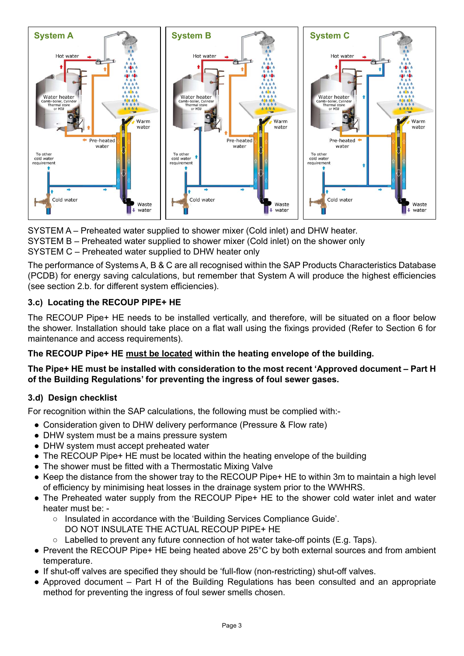

SYSTEM A – Preheated water supplied to shower mixer (Cold inlet) and DHW heater. SYSTEM B – Preheated water supplied to shower mixer (Cold inlet) on the shower only SYSTEM C – Preheated water supplied to DHW heater only

The performance of Systems A, B & C are all recognised within the SAP Products Characteristics Database (PCDB) for energy saving calculations, but remember that System A will produce the highest efficiencies (see section 2.b. for different system efficiencies).

#### **3.c) Locating the RECOUP PIPE+ HE**

The RECOUP Pipe+ HE needs to be installed vertically, and therefore, will be situated on a floor below the shower. Installation should take place on a flat wall using the fixings provided (Refer to Section 6 for maintenance and access requirements).

#### **The RECOUP Pipe+ HE must be located within the heating envelope of the building.**

#### **The Pipe+ HE must be installed with consideration to the most recent 'Approved document – Part H of the Building Regulations' for preventing the ingress of foul sewer gases.**

#### **3.d) Design checklist**

For recognition within the SAP calculations, the following must be complied with:-

- Consideration given to DHW delivery performance (Pressure & Flow rate)
- DHW system must be a mains pressure system
- DHW system must accept preheated water
- The RECOUP Pipe+ HE must be located within the heating envelope of the building
- The shower must be fitted with a Thermostatic Mixing Valve
- Keep the distance from the shower tray to the RECOUP Pipe+ HE to within 3m to maintain a high level of efficiency by minimising heat losses in the drainage system prior to the WWHRS.
- The Preheated water supply from the RECOUP Pipe+ HE to the shower cold water inlet and water heater must be: -
	- Insulated in accordance with the 'Building Services Compliance Guide'. DO NOT INSULATE THE ACTUAL RECOUP PIPE+ HE
	- Labelled to prevent any future connection of hot water take-off points (E.g. Taps).
- Prevent the RECOUP Pipe+ HE being heated above 25°C by both external sources and from ambient temperature.
- If shut-off valves are specified they should be 'full-flow (non-restricting) shut-off valves.
- Approved document Part H of the Building Regulations has been consulted and an appropriate method for preventing the ingress of foul sewer smells chosen.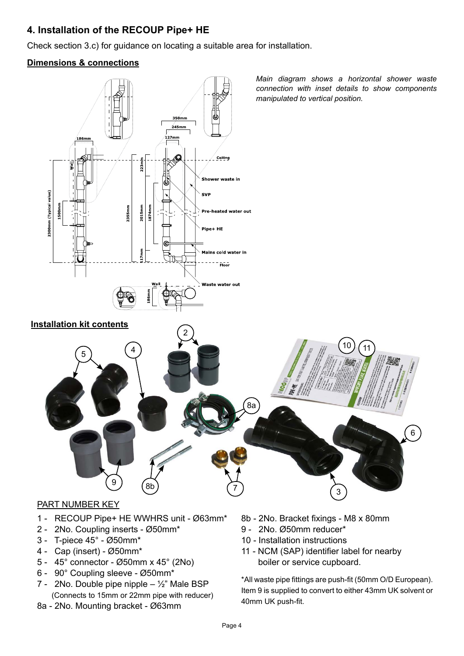#### **4. Installation of the RECOUP Pipe+ HE**

Check section 3.c) for guidance on locating a suitable area for installation.

#### **Dimensions & connections**



#### PART NUMBER KEY

- 1 RECOUP Pipe+ HE WWHRS unit Ø63mm\*
- 2 2No. Coupling inserts Ø50mm\*
- 3 T-piece 45° Ø50mm\*
- 4 Cap (insert) Ø50mm\*
- 5 45° connector Ø50mm x 45° (2No)
- 6 90° Coupling sleeve Ø50mm\*
- 7 2No. Double pipe nipple  $\frac{1}{2}$ " Male BSP (Connects to 15mm or 22mm pipe with reducer)
- 8a 2No. Mounting bracket Ø63mm
- 8b 2No. Bracket fixings M8 x 80mm
- 9 2No. Ø50mm reducer\*
- 10 Installation instructions
- 11 NCM (SAP) identifier label for nearby boiler or service cupboard.

\*All waste pipe fittings are push-fit (50mm O/D European). Item 9 is supplied to convert to either 43mm UK solvent or 40mm UK push-fit.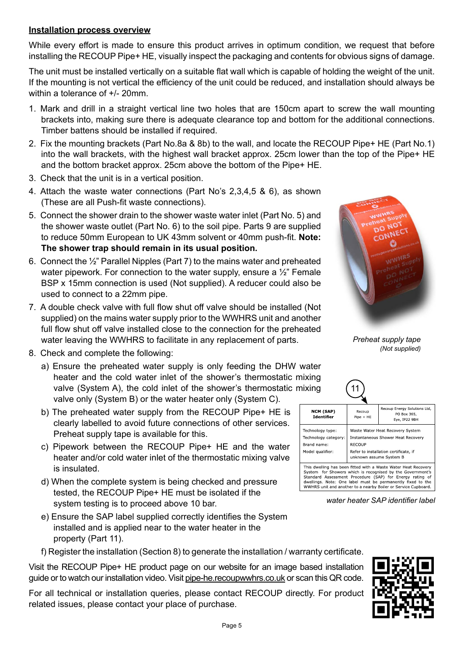#### **Installation process overview**

While every effort is made to ensure this product arrives in optimum condition, we request that before installing the RECOUP Pipe+ HE, visually inspect the packaging and contents for obvious signs of damage.

The unit must be installed vertically on a suitable flat wall which is capable of holding the weight of the unit. If the mounting is not vertical the efficiency of the unit could be reduced, and installation should always be within a tolerance of +/- 20mm.

- 1. Mark and drill in a straight vertical line two holes that are 150cm apart to screw the wall mounting brackets into, making sure there is adequate clearance top and bottom for the additional connections. Timber battens should be installed if required.
- 2. Fix the mounting brackets (Part No.8a & 8b) to the wall, and locate the RECOUP Pipe+ HE (Part No.1) into the wall brackets, with the highest wall bracket approx. 25cm lower than the top of the Pipe+ HE and the bottom bracket approx. 25cm above the bottom of the Pipe+ HE.
- 3. Check that the unit is in a vertical position.
- 4. Attach the waste water connections (Part No's 2,3,4,5 & 6), as shown (These are all Push-fit waste connections).
- 5. Connect the shower drain to the shower waste water inlet (Part No. 5) and the shower waste outlet (Part No. 6) to the soil pipe. Parts 9 are supplied to reduce 50mm European to UK 43mm solvent or 40mm push-fit. **Note: The shower trap should remain in its usual position.**
- 6. Connect the ½" Parallel Nipples (Part 7) to the mains water and preheated water pipework. For connection to the water supply, ensure a 1/2" Female BSP x 15mm connection is used (Not supplied). A reducer could also be used to connect to a 22mm pipe.
- 7. A double check valve with full flow shut off valve should be installed (Not supplied) on the mains water supply prior to the WWHRS unit and another full flow shut off valve installed close to the connection for the preheated water leaving the WWHRS to facilitate in any replacement of parts.
- 8. Check and complete the following:
	- a) Ensure the preheated water supply is only feeding the DHW water heater and the cold water inlet of the shower's thermostatic mixing valve (System A), the cold inlet of the shower's thermostatic m valve only (System B) or the water heater only (System C).
	- b) The preheated water supply from the RECOUP Pipe+ HE is clearly labelled to avoid future connections of other services. Preheat supply tape is available for this.
	- c) Pipework between the RECOUP Pipe+ HE and the water heater and/or cold water inlet of the thermostatic mixing valve is insulated.
	- d) When the complete system is being checked and pressure tested, the RECOUP Pipe+ HE must be isolated if the system testing is to proceed above 10 bar.
	- e) Ensure the SAP label supplied correctly identifies the System installed and is applied near to the water heater in the property (Part 11).

f) Register the installation (Section 8) to generate the installation / warranty certificate.

Visit the RECOUP Pipe+ HE product page on our website for an image based installation guide or to watch our installation video. Visit pipe-he.recoupwwhrs.co.uk or scan this QR code.

For all technical or installation queries, please contact RECOUP directly. For product related issues, please contact your place of purchase.



*Preheat supply tape (Not supplied)* 

| .<br>nixing                                                                 |                                                                                                                                                      |                                                                                                                                                                                                                                                         |  |
|-----------------------------------------------------------------------------|------------------------------------------------------------------------------------------------------------------------------------------------------|---------------------------------------------------------------------------------------------------------------------------------------------------------------------------------------------------------------------------------------------------------|--|
| <b>NCM (SAP)</b><br>Identifier                                              | Recoup<br>$Pipe + HE$                                                                                                                                | Recoup Energy Solutions Ltd,<br>PO Box 365,<br>Eye, IP22 9BH                                                                                                                                                                                            |  |
| Technology type:<br>Technology category:<br>Brand name:<br>Model qualifier: | Waste Water Heat Recovery System<br>Instantaneous Shower Heat Recovery<br>RECOUP<br>Refer to installation certificate, if<br>unknown assume System B |                                                                                                                                                                                                                                                         |  |
|                                                                             |                                                                                                                                                      | This dwelling has been fitted with a Waste Water Heat Recovery<br>System for Showers which is recognised by the Government's<br>Standard Assessment Procedure (SAP) for Energy rating of<br>dwellings. Note: One label must be permanently fixed to the |  |

WWHRS unit and another to a nearby Boiler or Service Cupboard.



*water heater SAP identifier label*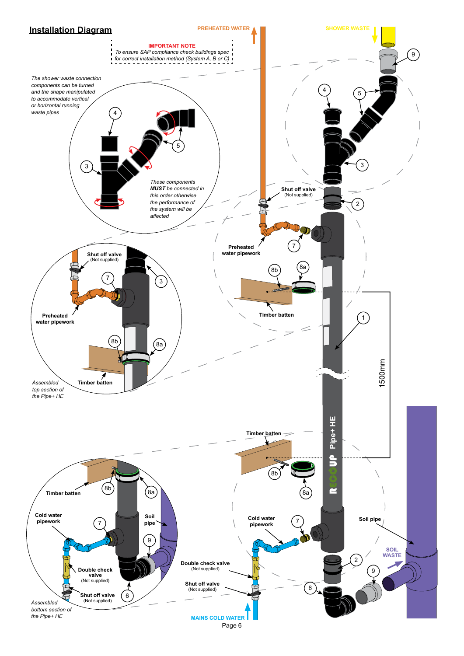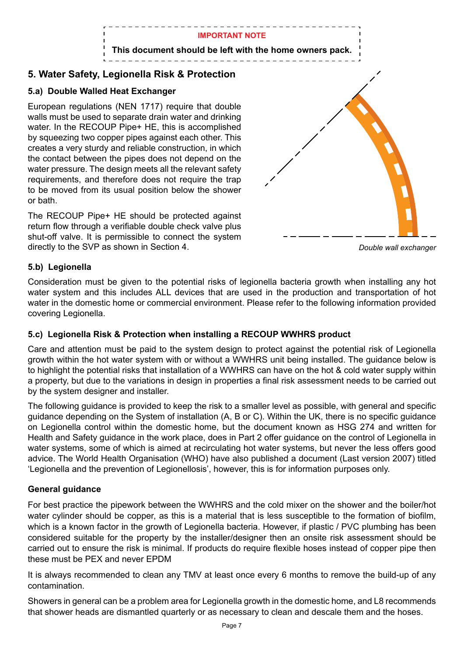

#### **5. Water Safety, Legionella Risk & Protection**

#### **5.a) Double Walled Heat Exchanger**

European regulations (NEN 1717) require that double walls must be used to separate drain water and drinking water. In the RECOUP Pipe+ HE, this is accomplished by squeezing two copper pipes against each other. This creates a very sturdy and reliable construction, in which the contact between the pipes does not depend on the water pressure. The design meets all the relevant safety requirements, and therefore does not require the trap to be moved from its usual position below the shower or bath.

The RECOUP Pipe+ HE should be protected against return flow through a verifiable double check valve plus shut-off valve. It is permissible to connect the system directly to the SVP as shown in Section 4. *Double wall exchanger*



#### **5.b) Legionella**

Consideration must be given to the potential risks of legionella bacteria growth when installing any hot water system and this includes ALL devices that are used in the production and transportation of hot water in the domestic home or commercial environment. Please refer to the following information provided covering Legionella.

#### **5.c) Legionella Risk & Protection when installing a RECOUP WWHRS product**

Care and attention must be paid to the system design to protect against the potential risk of Legionella growth within the hot water system with or without a WWHRS unit being installed. The guidance below is to highlight the potential risks that installation of a WWHRS can have on the hot & cold water supply within a property, but due to the variations in design in properties a final risk assessment needs to be carried out by the system designer and installer.

The following guidance is provided to keep the risk to a smaller level as possible, with general and specific guidance depending on the System of installation (A, B or C). Within the UK, there is no specific guidance on Legionella control within the domestic home, but the document known as HSG 274 and written for Health and Safety guidance in the work place, does in Part 2 offer guidance on the control of Legionella in water systems, some of which is aimed at recirculating hot water systems, but never the less offers good advice. The World Health Organisation (WHO) have also published a document (Last version 2007) titled 'Legionella and the prevention of Legionellosis', however, this is for information purposes only.

#### **General guidance**

For best practice the pipework between the WWHRS and the cold mixer on the shower and the boiler/hot water cylinder should be copper, as this is a material that is less susceptible to the formation of biofilm, which is a known factor in the growth of Legionella bacteria. However, if plastic / PVC plumbing has been considered suitable for the property by the installer/designer then an onsite risk assessment should be carried out to ensure the risk is minimal. If products do require flexible hoses instead of copper pipe then these must be PEX and never EPDM

It is always recommended to clean any TMV at least once every 6 months to remove the build-up of any contamination.

Showers in general can be a problem area for Legionella growth in the domestic home, and L8 recommends that shower heads are dismantled quarterly or as necessary to clean and descale them and the hoses.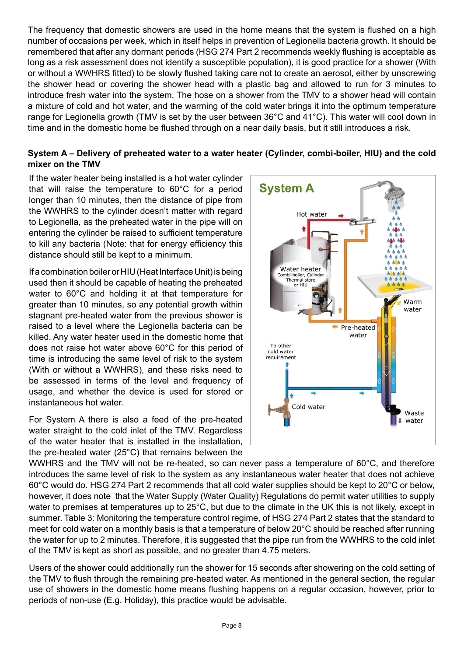The frequency that domestic showers are used in the home means that the system is flushed on a high number of occasions per week, which in itself helps in prevention of Legionella bacteria growth. It should be remembered that after any dormant periods (HSG 274 Part 2 recommends weekly flushing is acceptable as long as a risk assessment does not identify a susceptible population), it is good practice for a shower (With or without a WWHRS fitted) to be slowly flushed taking care not to create an aerosol, either by unscrewing the shower head or covering the shower head with a plastic bag and allowed to run for 3 minutes to introduce fresh water into the system. The hose on a shower from the TMV to a shower head will contain a mixture of cold and hot water, and the warming of the cold water brings it into the optimum temperature range for Legionella growth (TMV is set by the user between 36°C and 41°C). This water will cool down in time and in the domestic home be flushed through on a near daily basis, but it still introduces a risk.

#### **System A – Delivery of preheated water to a water heater (Cylinder, combi-boiler, HIU) and the cold mixer on the TMV**

If the water heater being installed is a hot water cylinder that will raise the temperature to 60°C for a period longer than 10 minutes, then the distance of pipe from the WWHRS to the cylinder doesn't matter with regard to Legionella, as the preheated water in the pipe will on entering the cylinder be raised to sufficient temperature to kill any bacteria (Note: that for energy efficiency this distance should still be kept to a minimum.

If a combination boiler or HIU (Heat Interface Unit) is being used then it should be capable of heating the preheated water to 60°C and holding it at that temperature for greater than 10 minutes, so any potential growth within stagnant pre-heated water from the previous shower is raised to a level where the Legionella bacteria can be killed. Any water heater used in the domestic home that does not raise hot water above 60°C for this period of time is introducing the same level of risk to the system (With or without a WWHRS), and these risks need to be assessed in terms of the level and frequency of usage, and whether the device is used for stored or instantaneous hot water.

For System A there is also a feed of the pre-heated water straight to the cold inlet of the TMV. Regardless of the water heater that is installed in the installation, the pre-heated water (25°C) that remains between the



WWHRS and the TMV will not be re-heated, so can never pass a temperature of 60°C, and therefore introduces the same level of risk to the system as any instantaneous water heater that does not achieve 60°C would do. HSG 274 Part 2 recommends that all cold water supplies should be kept to 20°C or below, however, it does note that the Water Supply (Water Quality) Regulations do permit water utilities to supply water to premises at temperatures up to 25°C, but due to the climate in the UK this is not likely, except in summer. Table 3: Monitoring the temperature control regime, of HSG 274 Part 2 states that the standard to meet for cold water on a monthly basis is that a temperature of below 20°C should be reached after running the water for up to 2 minutes. Therefore, it is suggested that the pipe run from the WWHRS to the cold inlet of the TMV is kept as short as possible, and no greater than 4.75 meters.

Users of the shower could additionally run the shower for 15 seconds after showering on the cold setting of the TMV to flush through the remaining pre-heated water. As mentioned in the general section, the regular use of showers in the domestic home means flushing happens on a regular occasion, however, prior to periods of non-use (E.g. Holiday), this practice would be advisable.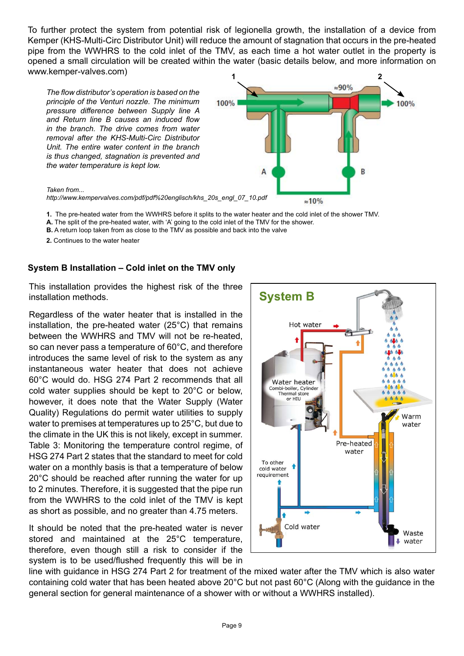To further protect the system from potential risk of legionella growth, the installation of a device from Kemper (KHS-Multi-Circ Distributor Unit) will reduce the amount of stagnation that occurs in the pre-heated pipe from the WWHRS to the cold inlet of the TMV, as each time a hot water outlet in the property is opened a small circulation will be created within the water (basic details below, and more information on www.kemper-valves.com)

*The flow distributor's operation is based on the principle of the Venturi nozzle. The minimum pressure difference between Supply line A and Return line B causes an induced flow in the branch. The drive comes from water removal after the KHS-Multi-Circ Distributor Unit. The entire water content in the branch is thus changed, stagnation is prevented and the water temperature is kept low.*



#### *Taken from...*

*http://www.kempervalves.com/pdf/pdf%20englisch/khs\_20s\_engl\_07\_10.pdf*

- **1.** The pre-heated water from the WWHRS before it splits to the water heater and the cold inlet of the shower TMV.
- **A.** The split of the pre-heated water, with 'A' going to the cold inlet of the TMV for the shower.
- **B.** A return loop taken from as close to the TMV as possible and back into the valve
- **2.** Continues to the water heater

#### **System B Installation – Cold inlet on the TMV only**

This installation provides the highest risk of the three installation methods.

Regardless of the water heater that is installed in the installation, the pre-heated water (25°C) that remains between the WWHRS and TMV will not be re-heated, so can never pass a temperature of 60°C, and therefore introduces the same level of risk to the system as any instantaneous water heater that does not achieve 60°C would do. HSG 274 Part 2 recommends that all cold water supplies should be kept to 20°C or below, however, it does note that the Water Supply (Water Quality) Regulations do permit water utilities to supply water to premises at temperatures up to 25°C, but due to the climate in the UK this is not likely, except in summer. Table 3: Monitoring the temperature control regime, of HSG 274 Part 2 states that the standard to meet for cold water on a monthly basis is that a temperature of below 20°C should be reached after running the water for up to 2 minutes. Therefore, it is suggested that the pipe run from the WWHRS to the cold inlet of the TMV is kept as short as possible, and no greater than 4.75 meters.

It should be noted that the pre-heated water is never stored and maintained at the 25°C temperature, therefore, even though still a risk to consider if the system is to be used/flushed frequently this will be in



line with guidance in HSG 274 Part 2 for treatment of the mixed water after the TMV which is also water containing cold water that has been heated above 20°C but not past 60°C (Along with the guidance in the general section for general maintenance of a shower with or without a WWHRS installed).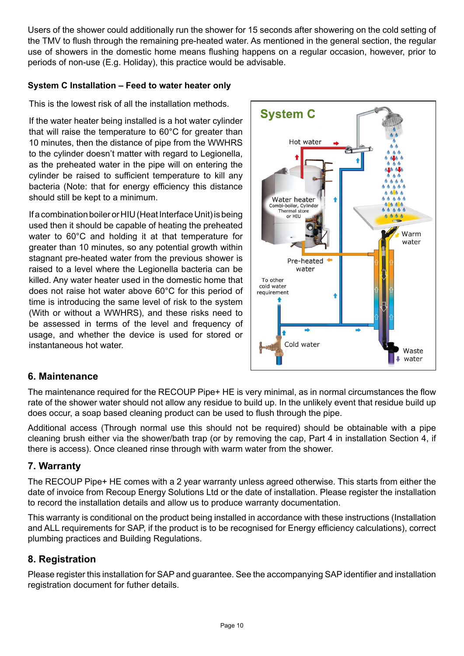Users of the shower could additionally run the shower for 15 seconds after showering on the cold setting of the TMV to flush through the remaining pre-heated water. As mentioned in the general section, the regular use of showers in the domestic home means flushing happens on a regular occasion, however, prior to periods of non-use (E.g. Holiday), this practice would be advisable.

#### **System C Installation – Feed to water heater only**

This is the lowest risk of all the installation methods.

If the water heater being installed is a hot water cylinder that will raise the temperature to 60°C for greater than 10 minutes, then the distance of pipe from the WWHRS to the cylinder doesn't matter with regard to Legionella, as the preheated water in the pipe will on entering the cylinder be raised to sufficient temperature to kill any bacteria (Note: that for energy efficiency this distance should still be kept to a minimum.

If a combination boiler or HIU (Heat Interface Unit) is being used then it should be capable of heating the preheated water to 60°C and holding it at that temperature for greater than 10 minutes, so any potential growth within stagnant pre-heated water from the previous shower is raised to a level where the Legionella bacteria can be killed. Any water heater used in the domestic home that does not raise hot water above 60°C for this period of time is introducing the same level of risk to the system (With or without a WWHRS), and these risks need to be assessed in terms of the level and frequency of usage, and whether the device is used for stored or instantaneous hot water.



#### **6. Maintenance**

The maintenance required for the RECOUP Pipe+ HE is very minimal, as in normal circumstances the flow rate of the shower water should not allow any residue to build up. In the unlikely event that residue build up does occur, a soap based cleaning product can be used to flush through the pipe.

Additional access (Through normal use this should not be required) should be obtainable with a pipe cleaning brush either via the shower/bath trap (or by removing the cap, Part 4 in installation Section 4, if there is access). Once cleaned rinse through with warm water from the shower.

#### **7. Warranty**

The RECOUP Pipe+ HE comes with a 2 year warranty unless agreed otherwise. This starts from either the date of invoice from Recoup Energy Solutions Ltd or the date of installation. Please register the installation to record the installation details and allow us to produce warranty documentation.

This warranty is conditional on the product being installed in accordance with these instructions (Installation and ALL requirements for SAP, if the product is to be recognised for Energy efficiency calculations), correct plumbing practices and Building Regulations.

#### **8. Registration**

Please register this installation for SAP and guarantee. See the accompanying SAP identifier and installation registration document for futher details.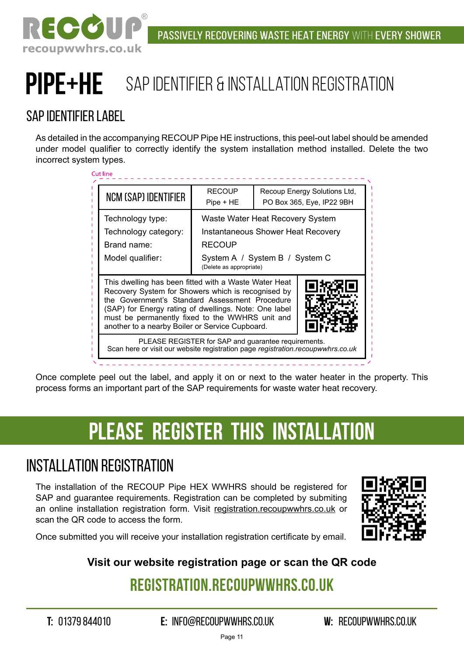

# PIPE+HE SAP IDENTIFIER & INSTALLATION REGISTRATION

### sap identifier label

As detailed in the accompanying RECOUP Pipe HE instructions, this peel-out label should be amended under model qualifier to correctly identify the system installation method installed. Delete the two incorrect system types.

| <b>NCM (SAP) IDENTIFIER</b>                                                                                                                                                                                                                                                                                                  | <b>RECOUP</b><br>$Pipe + HE$                                                                                                                         | Recoup Energy Solutions Ltd,<br>PO Box 365, Eye, IP22 9BH |  |
|------------------------------------------------------------------------------------------------------------------------------------------------------------------------------------------------------------------------------------------------------------------------------------------------------------------------------|------------------------------------------------------------------------------------------------------------------------------------------------------|-----------------------------------------------------------|--|
| Technology type:<br>Technology category:<br>Brand name:<br>Model qualifier:                                                                                                                                                                                                                                                  | Waste Water Heat Recovery System<br>Instantaneous Shower Heat Recovery<br><b>RECOUP</b><br>System A / System B / System C<br>(Delete as appropriate) |                                                           |  |
| This dwelling has been fitted with a Waste Water Heat<br>Recovery System for Showers which is recognised by<br>the Government's Standard Assessment Procedure<br>(SAP) for Energy rating of dwellings. Note: One label<br>must be permanently fixed to the WWHRS unit and<br>another to a nearby Boiler or Service Cupboard. |                                                                                                                                                      |                                                           |  |
|                                                                                                                                                                                                                                                                                                                              |                                                                                                                                                      |                                                           |  |

Once complete peel out the label, and apply it on or next to the water heater in the property. This process forms an important part of the SAP requirements for waste water heat recovery.

## **please register thIS installation**

## INSTALLATION Registration

The installation of the RECOUP Pipe HEX WWHRS should be registered for SAP and guarantee requirements. Registration can be completed by submiting an online installation registration form. Visit registration.recoupwwhrs.co.uk or scan the QR code to access the form.



Once submitted you will receive your installation registration certificate by email.

### **Visit our website registration page or scan the QR code**

## **registration.recoupwwhrs.co.uk**

**T:** 01379 844010 **E:** info@recoupwwhrs.co.uk **W:** recoupwwhrs.co.uk